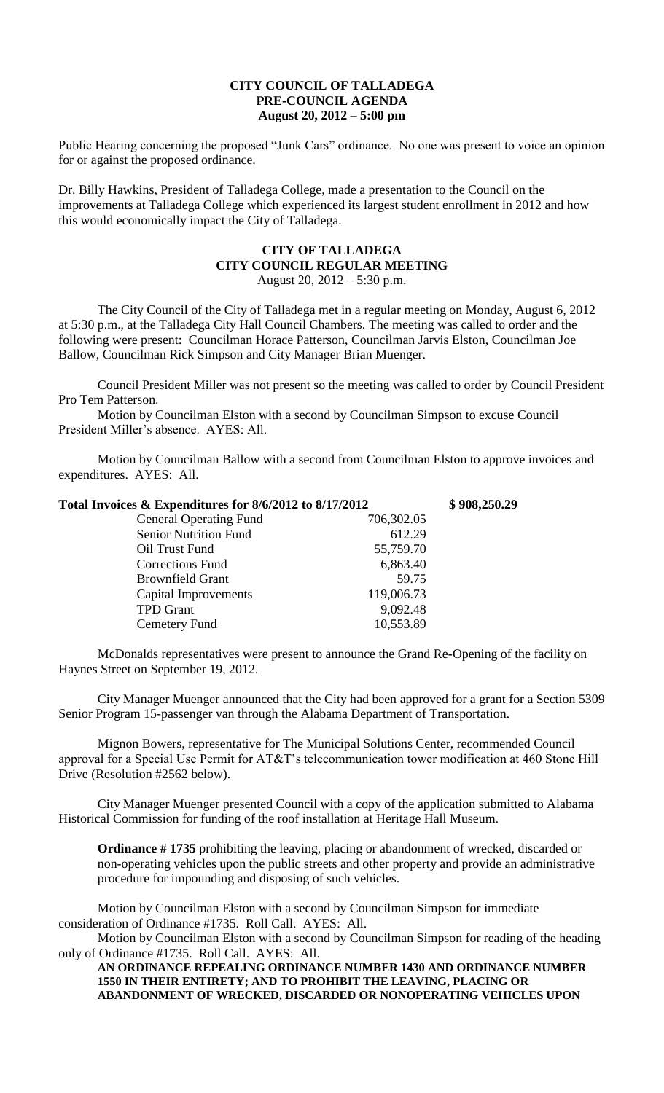## **CITY COUNCIL OF TALLADEGA PRE-COUNCIL AGENDA August 20, 2012 – 5:00 pm**

Public Hearing concerning the proposed "Junk Cars" ordinance. No one was present to voice an opinion for or against the proposed ordinance.

Dr. Billy Hawkins, President of Talladega College, made a presentation to the Council on the improvements at Talladega College which experienced its largest student enrollment in 2012 and how this would economically impact the City of Talladega.

## **CITY OF TALLADEGA CITY COUNCIL REGULAR MEETING** August 20, 2012 – 5:30 p.m.

The City Council of the City of Talladega met in a regular meeting on Monday, August 6, 2012 at 5:30 p.m., at the Talladega City Hall Council Chambers. The meeting was called to order and the following were present: Councilman Horace Patterson, Councilman Jarvis Elston, Councilman Joe Ballow, Councilman Rick Simpson and City Manager Brian Muenger.

Council President Miller was not present so the meeting was called to order by Council President Pro Tem Patterson.

Motion by Councilman Elston with a second by Councilman Simpson to excuse Council President Miller's absence. AYES: All.

Motion by Councilman Ballow with a second from Councilman Elston to approve invoices and expenditures. AYES: All.

| Total Invoices & Expenditures for 8/6/2012 to 8/17/2012 | \$908,250.29 |  |
|---------------------------------------------------------|--------------|--|
| <b>General Operating Fund</b>                           | 706,302.05   |  |
| <b>Senior Nutrition Fund</b>                            | 612.29       |  |
| Oil Trust Fund                                          | 55,759.70    |  |
| <b>Corrections Fund</b>                                 | 6,863.40     |  |
| <b>Brownfield Grant</b>                                 | 59.75        |  |
| Capital Improvements                                    | 119,006.73   |  |
| <b>TPD</b> Grant                                        | 9,092.48     |  |
| Cemetery Fund                                           | 10,553.89    |  |

McDonalds representatives were present to announce the Grand Re-Opening of the facility on Haynes Street on September 19, 2012.

City Manager Muenger announced that the City had been approved for a grant for a Section 5309 Senior Program 15-passenger van through the Alabama Department of Transportation.

Mignon Bowers, representative for The Municipal Solutions Center, recommended Council approval for a Special Use Permit for AT&T's telecommunication tower modification at 460 Stone Hill Drive (Resolution #2562 below).

City Manager Muenger presented Council with a copy of the application submitted to Alabama Historical Commission for funding of the roof installation at Heritage Hall Museum.

**Ordinance # 1735** prohibiting the leaving, placing or abandonment of wrecked, discarded or non-operating vehicles upon the public streets and other property and provide an administrative procedure for impounding and disposing of such vehicles.

Motion by Councilman Elston with a second by Councilman Simpson for immediate consideration of Ordinance #1735. Roll Call. AYES: All.

Motion by Councilman Elston with a second by Councilman Simpson for reading of the heading only of Ordinance #1735. Roll Call. AYES: All.

**AN ORDINANCE REPEALING ORDINANCE NUMBER 1430 AND ORDINANCE NUMBER 1550 IN THEIR ENTIRETY; AND TO PROHIBIT THE LEAVING, PLACING OR ABANDONMENT OF WRECKED, DISCARDED OR NONOPERATING VEHICLES UPON**